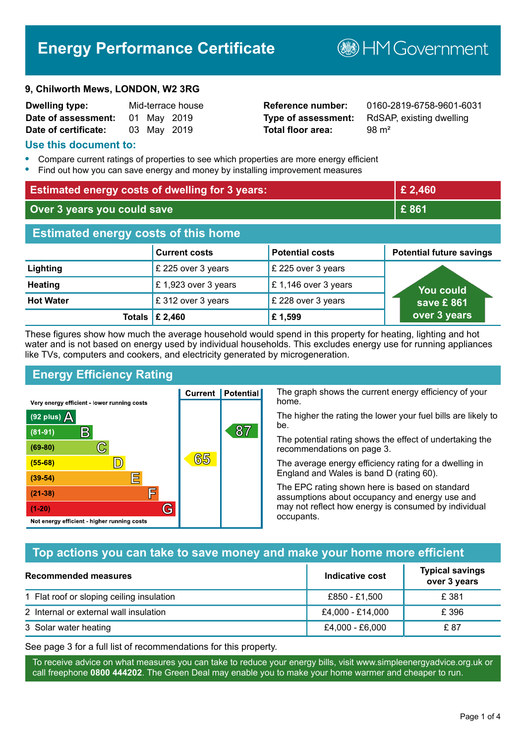# **Energy Performance Certificate**

#### **9, Chilworth Mews, LONDON, W2 3RG**

| Dwelling type:       |  | Mid-terrace house |
|----------------------|--|-------------------|
| Date of assessment:  |  | 01 May 2019       |
| Date of certificate: |  | 03 May 2019       |

# **Total floor area:** 98 m<sup>2</sup>

**Reference number:** 0160-2819-6758-9601-6031 **Type of assessment:** RdSAP, existing dwelling

**B**HM Government

#### **Use this document to:**

- **•** Compare current ratings of properties to see which properties are more energy efficient
- **•** Find out how you can save energy and money by installing improvement measures

| <b>Estimated energy costs of dwelling for 3 years:</b> |                      | £ 2,460                |                                 |
|--------------------------------------------------------|----------------------|------------------------|---------------------------------|
| Over 3 years you could save                            |                      | £861                   |                                 |
| <b>Estimated energy costs of this home</b>             |                      |                        |                                 |
|                                                        | <b>Current costs</b> | <b>Potential costs</b> | <b>Potential future savings</b> |
| Lighting                                               | £ 225 over 3 years   | £ 225 over 3 years     |                                 |
| <b>Heating</b>                                         | £1,923 over 3 years  | £1,146 over 3 years    | <u>You could</u>                |
| <b>Hot Water</b>                                       | £312 over 3 years    | £ 228 over 3 years     | save £861                       |
| <b>Totals</b>                                          | £ 2,460              | £1,599                 | over 3 years                    |

These figures show how much the average household would spend in this property for heating, lighting and hot water and is not based on energy used by individual households. This excludes energy use for running appliances like TVs, computers and cookers, and electricity generated by microgeneration.

**Current | Potential** 

65

87

# **Energy Efficiency Rating**

 $\mathbb{C}$ 

D)

IΞ

F

G

Very energy efficient - lower running costs

 $\mathsf{R}% _{T}$ 

Not energy efficient - higher running costs

(92 plus)  $\Delta$ 

 $(81 - 91)$  $(69 - 80)$ 

 $(55-68)$  $(39-54)$ 

 $(21-38)$ 

 $(1-20)$ 

The graph shows the current energy efficiency of your home.

The higher the rating the lower your fuel bills are likely to be.

The potential rating shows the effect of undertaking the recommendations on page 3.

The average energy efficiency rating for a dwelling in England and Wales is band D (rating 60).

The EPC rating shown here is based on standard assumptions about occupancy and energy use and may not reflect how energy is consumed by individual occupants.

# **Top actions you can take to save money and make your home more efficient**

| <b>Recommended measures</b>               | Indicative cost  | <b>Typical savings</b><br>over 3 years |
|-------------------------------------------|------------------|----------------------------------------|
| 1 Flat roof or sloping ceiling insulation | £850 - £1,500    | £ 381                                  |
| 2 Internal or external wall insulation    | £4,000 - £14,000 | £ 396                                  |
| 3 Solar water heating                     | £4,000 - £6,000  | £ 87                                   |

See page 3 for a full list of recommendations for this property.

To receive advice on what measures you can take to reduce your energy bills, visit www.simpleenergyadvice.org.uk or call freephone **0800 444202**. The Green Deal may enable you to make your home warmer and cheaper to run.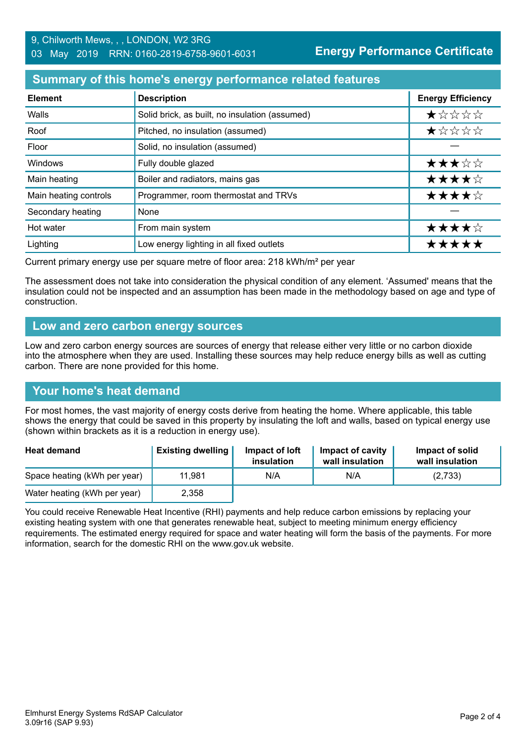### **Summary of this home's energy performance related features**

| <b>Element</b>        | <b>Description</b>                             | <b>Energy Efficiency</b> |
|-----------------------|------------------------------------------------|--------------------------|
| Walls                 | Solid brick, as built, no insulation (assumed) | *****                    |
| Roof                  | Pitched, no insulation (assumed)               | $\star$ * * * *          |
| Floor                 | Solid, no insulation (assumed)                 |                          |
| Windows               | Fully double glazed                            | ★★★☆☆                    |
| Main heating          | Boiler and radiators, mains gas                | ★★★★☆                    |
| Main heating controls | Programmer, room thermostat and TRVs           | ★★★★☆                    |
| Secondary heating     | None                                           |                          |
| Hot water             | From main system                               | ★★★★☆                    |
| Lighting              | Low energy lighting in all fixed outlets       | *****                    |

Current primary energy use per square metre of floor area: 218 kWh/m² per year

The assessment does not take into consideration the physical condition of any element. 'Assumed' means that the insulation could not be inspected and an assumption has been made in the methodology based on age and type of construction.

#### **Low and zero carbon energy sources**

Low and zero carbon energy sources are sources of energy that release either very little or no carbon dioxide into the atmosphere when they are used. Installing these sources may help reduce energy bills as well as cutting carbon. There are none provided for this home.

#### **Your home's heat demand**

For most homes, the vast majority of energy costs derive from heating the home. Where applicable, this table shows the energy that could be saved in this property by insulating the loft and walls, based on typical energy use (shown within brackets as it is a reduction in energy use).

| <b>Heat demand</b>           | <b>Existing dwelling</b> | Impact of loft<br>insulation | Impact of cavity<br>wall insulation | Impact of solid<br>wall insulation |
|------------------------------|--------------------------|------------------------------|-------------------------------------|------------------------------------|
| Space heating (kWh per year) | 11.981                   | N/A                          | N/A                                 | (2,733)                            |
| Water heating (kWh per year) | 2,358                    |                              |                                     |                                    |

You could receive Renewable Heat Incentive (RHI) payments and help reduce carbon emissions by replacing your existing heating system with one that generates renewable heat, subject to meeting minimum energy efficiency requirements. The estimated energy required for space and water heating will form the basis of the payments. For more information, search for the domestic RHI on the www.gov.uk website.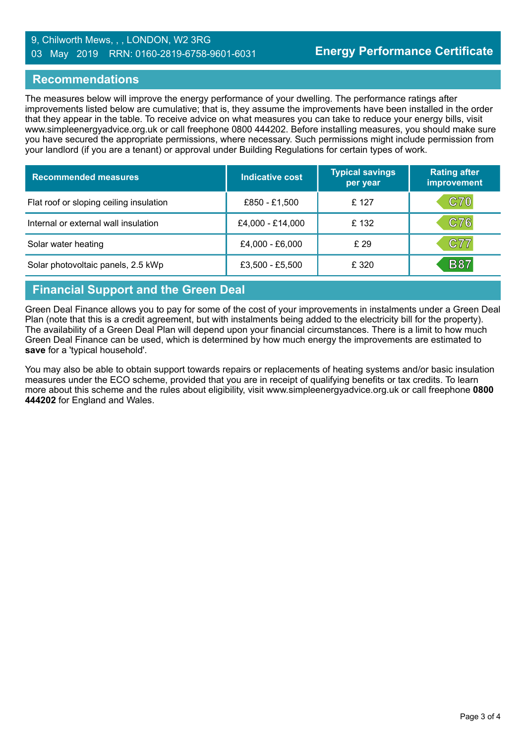#### 9, Chilworth Mews, , , LONDON, W2 3RG 03 May 2019 RRN: 0160-2819-6758-9601-6031

#### **Recommendations**

The measures below will improve the energy performance of your dwelling. The performance ratings after improvements listed below are cumulative; that is, they assume the improvements have been installed in the order that they appear in the table. To receive advice on what measures you can take to reduce your energy bills, visit www.simpleenergyadvice.org.uk or call freephone 0800 444202. Before installing measures, you should make sure you have secured the appropriate permissions, where necessary. Such permissions might include permission from your landlord (if you are a tenant) or approval under Building Regulations for certain types of work.

| <b>Recommended measures</b>             | Indicative cost  | <b>Typical savings</b><br>per year | <b>Rating after</b><br>improvement |
|-----------------------------------------|------------------|------------------------------------|------------------------------------|
| Flat roof or sloping ceiling insulation | £850 - £1,500    | £ 127                              | <b>C70</b>                         |
| Internal or external wall insulation    | £4,000 - £14,000 | £132                               | C76                                |
| Solar water heating                     | £4,000 - £6,000  | £ 29                               | C77                                |
| Solar photovoltaic panels, 2.5 kWp      | £3,500 - £5,500  | £ 320                              | <b>B87</b>                         |

# **Financial Support and the Green Deal**

Green Deal Finance allows you to pay for some of the cost of your improvements in instalments under a Green Deal Plan (note that this is a credit agreement, but with instalments being added to the electricity bill for the property). The availability of a Green Deal Plan will depend upon your financial circumstances. There is a limit to how much Green Deal Finance can be used, which is determined by how much energy the improvements are estimated to **save** for a 'typical household'.

You may also be able to obtain support towards repairs or replacements of heating systems and/or basic insulation measures under the ECO scheme, provided that you are in receipt of qualifying benefits or tax credits. To learn more about this scheme and the rules about eligibility, visit www.simpleenergyadvice.org.uk or call freephone **0800 444202** for England and Wales.